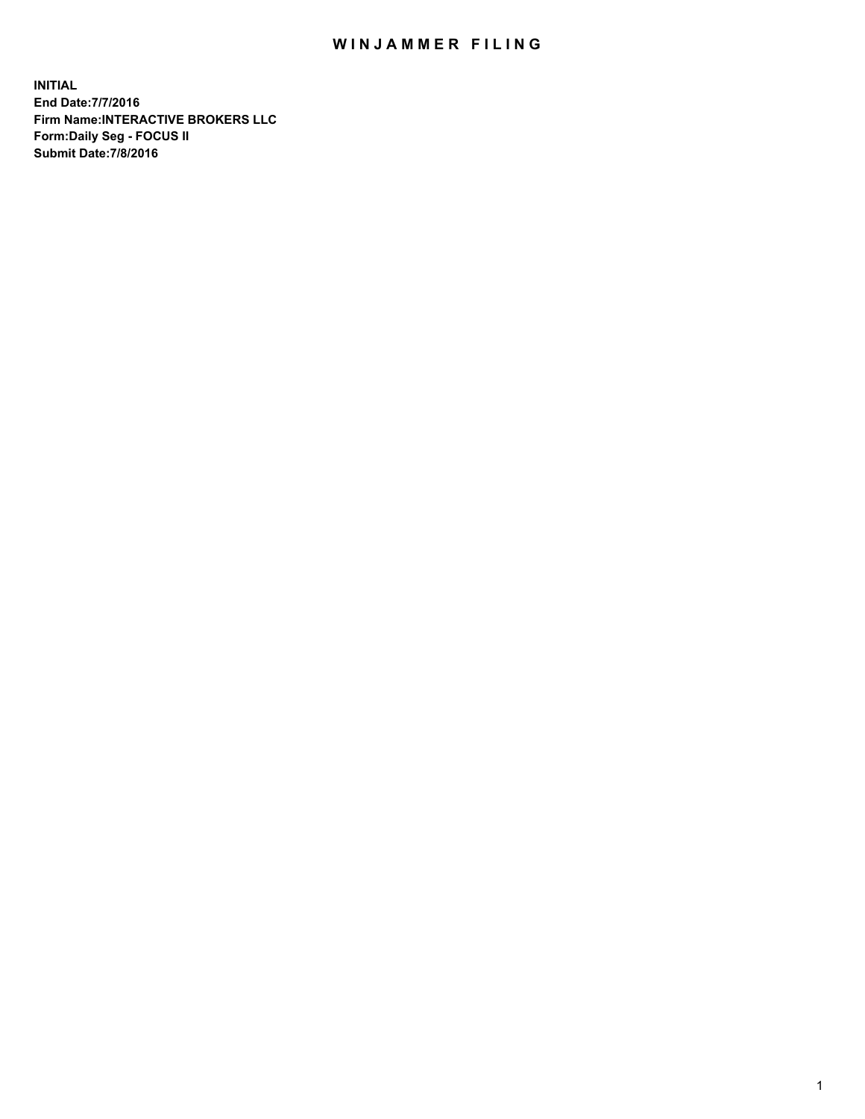## WIN JAMMER FILING

**INITIAL End Date:7/7/2016 Firm Name:INTERACTIVE BROKERS LLC Form:Daily Seg - FOCUS II Submit Date:7/8/2016**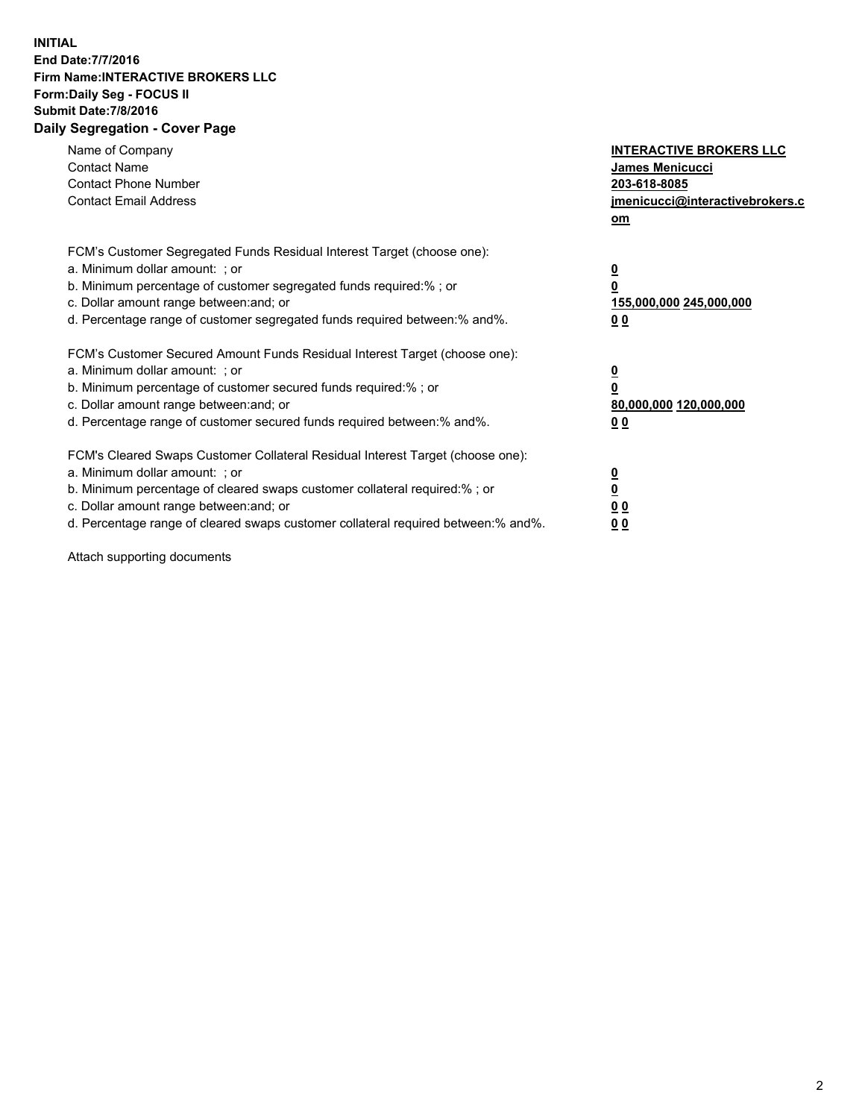## **INITIAL End Date:7/7/2016 Firm Name:INTERACTIVE BROKERS LLC Form:Daily Seg - FOCUS II Submit Date:7/8/2016 Daily Segregation - Cover Page**

| Name of Company<br><b>Contact Name</b><br><b>Contact Phone Number</b><br><b>Contact Email Address</b>                                                                                                                                                                                                                          | <b>INTERACTIVE BROKERS LLC</b><br><b>James Menicucci</b><br>203-618-8085<br>jmenicucci@interactivebrokers.c<br>om |
|--------------------------------------------------------------------------------------------------------------------------------------------------------------------------------------------------------------------------------------------------------------------------------------------------------------------------------|-------------------------------------------------------------------------------------------------------------------|
| FCM's Customer Segregated Funds Residual Interest Target (choose one):<br>a. Minimum dollar amount: ; or<br>b. Minimum percentage of customer segregated funds required:% ; or<br>c. Dollar amount range between: and; or<br>d. Percentage range of customer segregated funds required between: % and %.                       | $\overline{\mathbf{0}}$<br>0<br>155,000,000 245,000,000<br>00                                                     |
| FCM's Customer Secured Amount Funds Residual Interest Target (choose one):<br>a. Minimum dollar amount: ; or<br>b. Minimum percentage of customer secured funds required:%; or<br>c. Dollar amount range between: and; or<br>d. Percentage range of customer secured funds required between: % and %.                          | $\overline{\mathbf{0}}$<br>0<br>80,000,000 120,000,000<br>0 <sub>0</sub>                                          |
| FCM's Cleared Swaps Customer Collateral Residual Interest Target (choose one):<br>a. Minimum dollar amount: ; or<br>b. Minimum percentage of cleared swaps customer collateral required:% ; or<br>c. Dollar amount range between: and; or<br>d. Percentage range of cleared swaps customer collateral required between:% and%. | $\overline{\mathbf{0}}$<br>$\underline{\mathbf{0}}$<br>0 <sub>0</sub><br>0 <sub>0</sub>                           |

Attach supporting documents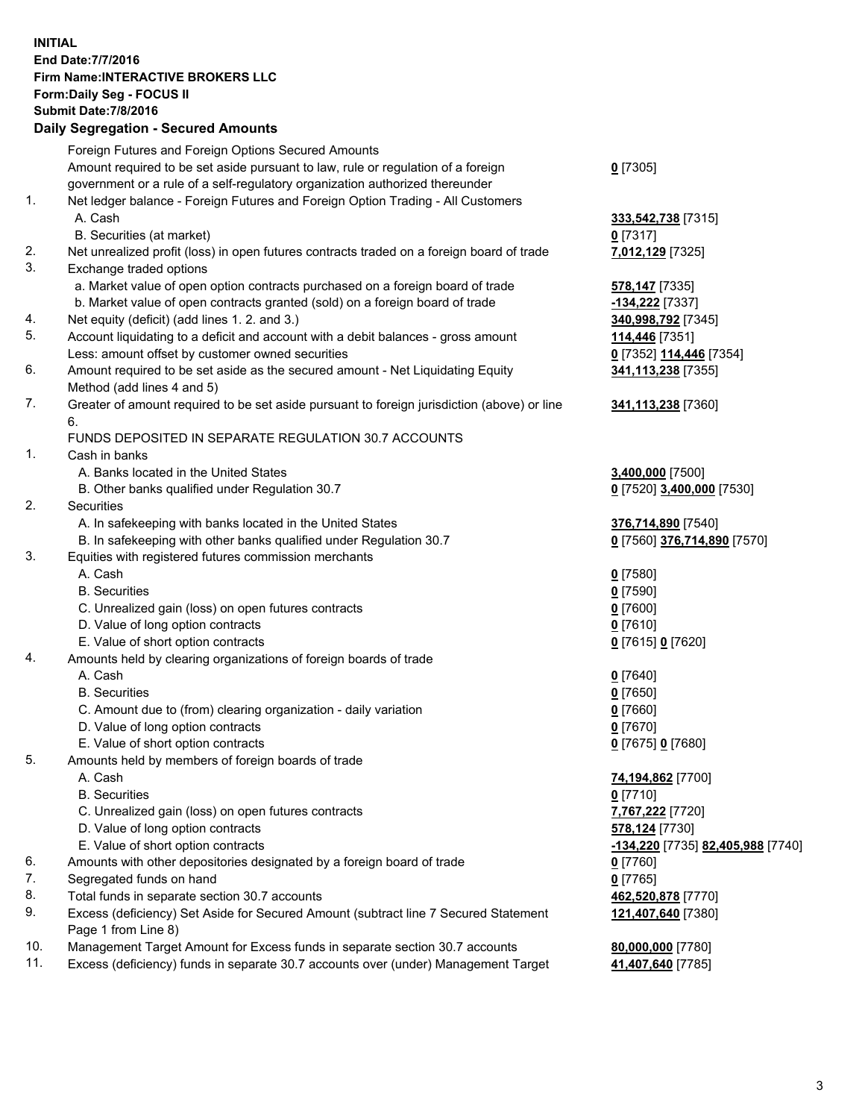## **INITIAL End Date:7/7/2016 Firm Name:INTERACTIVE BROKERS LLC Form:Daily Seg - FOCUS II Submit Date:7/8/2016 Daily Segregation - Secured Amounts**

|     | Foreign Futures and Foreign Options Secured Amounts                                         |                                   |
|-----|---------------------------------------------------------------------------------------------|-----------------------------------|
|     | Amount required to be set aside pursuant to law, rule or regulation of a foreign            | $0$ [7305]                        |
|     | government or a rule of a self-regulatory organization authorized thereunder                |                                   |
| 1.  | Net ledger balance - Foreign Futures and Foreign Option Trading - All Customers             |                                   |
|     | A. Cash                                                                                     | 333,542,738 [7315]                |
|     | B. Securities (at market)                                                                   | $0$ [7317]                        |
| 2.  | Net unrealized profit (loss) in open futures contracts traded on a foreign board of trade   | 7,012,129 [7325]                  |
| 3.  | Exchange traded options                                                                     |                                   |
|     | a. Market value of open option contracts purchased on a foreign board of trade              | 578,147 [7335]                    |
|     | b. Market value of open contracts granted (sold) on a foreign board of trade                | -134,222 [7337]                   |
| 4.  | Net equity (deficit) (add lines 1.2. and 3.)                                                | 340,998,792 [7345]                |
| 5.  | Account liquidating to a deficit and account with a debit balances - gross amount           | 114,446 [7351]                    |
|     | Less: amount offset by customer owned securities                                            | 0 [7352] 114,446 [7354]           |
| 6.  | Amount required to be set aside as the secured amount - Net Liquidating Equity              | 341,113,238 [7355]                |
|     | Method (add lines 4 and 5)                                                                  |                                   |
| 7.  | Greater of amount required to be set aside pursuant to foreign jurisdiction (above) or line | 341,113,238 [7360]                |
|     | 6.                                                                                          |                                   |
|     | FUNDS DEPOSITED IN SEPARATE REGULATION 30.7 ACCOUNTS                                        |                                   |
| 1.  | Cash in banks                                                                               |                                   |
|     | A. Banks located in the United States                                                       | 3,400,000 [7500]                  |
|     | B. Other banks qualified under Regulation 30.7                                              | 0 [7520] 3,400,000 [7530]         |
| 2.  | Securities                                                                                  |                                   |
|     | A. In safekeeping with banks located in the United States                                   | 376,714,890 [7540]                |
|     | B. In safekeeping with other banks qualified under Regulation 30.7                          | 0 [7560] 376,714,890 [7570]       |
| 3.  | Equities with registered futures commission merchants                                       |                                   |
|     | A. Cash                                                                                     | $0$ [7580]                        |
|     | <b>B.</b> Securities                                                                        | $0$ [7590]                        |
|     | C. Unrealized gain (loss) on open futures contracts                                         | $0$ [7600]                        |
|     | D. Value of long option contracts                                                           | $0$ [7610]                        |
|     | E. Value of short option contracts                                                          | 0 [7615] 0 [7620]                 |
| 4.  | Amounts held by clearing organizations of foreign boards of trade                           |                                   |
|     | A. Cash                                                                                     | $0$ [7640]                        |
|     | <b>B.</b> Securities                                                                        | $0$ [7650]                        |
|     |                                                                                             |                                   |
|     | C. Amount due to (from) clearing organization - daily variation                             | $0$ [7660]                        |
|     | D. Value of long option contracts                                                           | $0$ [7670]                        |
|     | E. Value of short option contracts                                                          | 0 [7675] 0 [7680]                 |
| 5.  | Amounts held by members of foreign boards of trade                                          |                                   |
|     | A. Cash                                                                                     | 74,194,862 [7700]                 |
|     | <b>B.</b> Securities                                                                        | $0$ [7710]                        |
|     | C. Unrealized gain (loss) on open futures contracts                                         | 7,767,222 [7720]                  |
|     | D. Value of long option contracts                                                           | 578,124 [7730]                    |
|     | E. Value of short option contracts                                                          | -134,220 [7735] 82,405,988 [7740] |
| 6.  | Amounts with other depositories designated by a foreign board of trade                      | $0$ [7760]                        |
| 7.  | Segregated funds on hand                                                                    | $0$ [7765]                        |
| 8.  | Total funds in separate section 30.7 accounts                                               | 462,520,878 [7770]                |
| 9.  | Excess (deficiency) Set Aside for Secured Amount (subtract line 7 Secured Statement         | 121,407,640 [7380]                |
|     | Page 1 from Line 8)                                                                         |                                   |
| 10. | Management Target Amount for Excess funds in separate section 30.7 accounts                 | 80,000,000 [7780]                 |
| 11. | Excess (deficiency) funds in separate 30.7 accounts over (under) Management Target          | 41,407,640 [7785]                 |
|     |                                                                                             |                                   |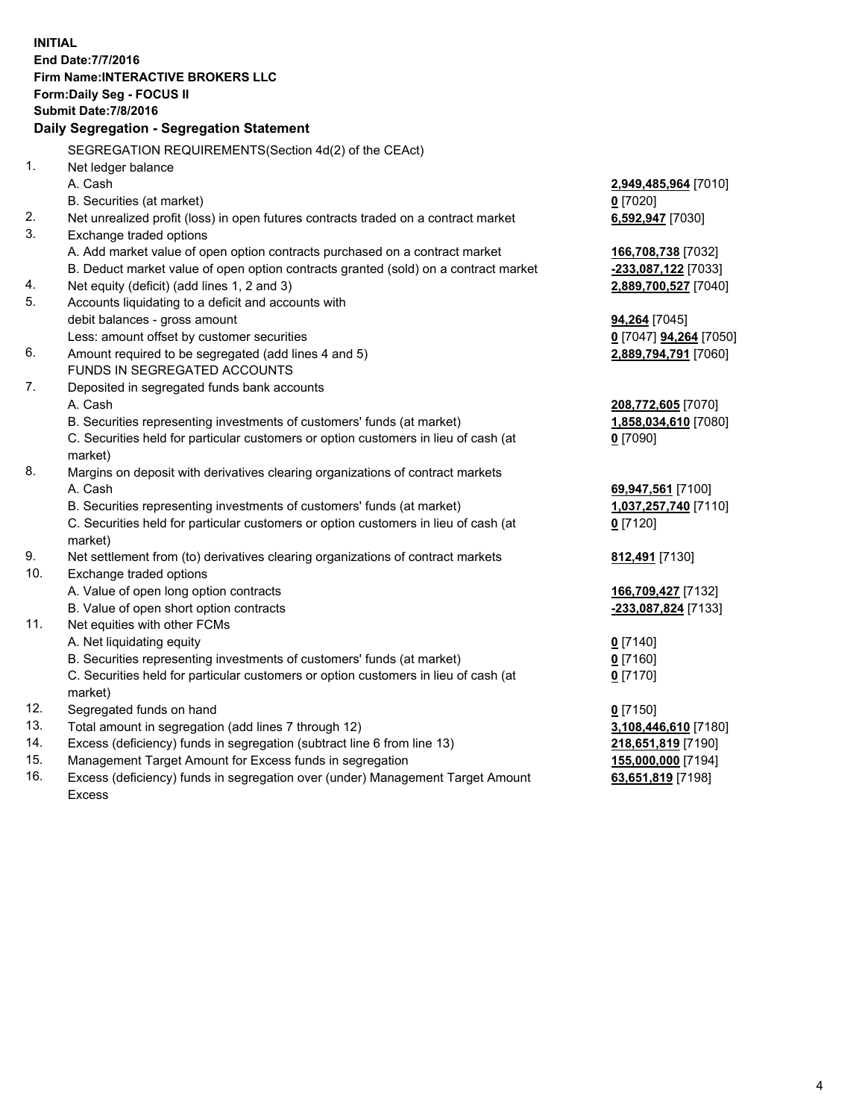**INITIAL End Date:7/7/2016 Firm Name:INTERACTIVE BROKERS LLC Form:Daily Seg - FOCUS II Submit Date:7/8/2016 Daily Segregation - Segregation Statement** SEGREGATION REQUIREMENTS(Section 4d(2) of the CEAct) 1. Net ledger balance A. Cash **2,949,485,964** [7010] B. Securities (at market) **0** [7020] 2. Net unrealized profit (loss) in open futures contracts traded on a contract market **6,592,947** [7030] 3. Exchange traded options A. Add market value of open option contracts purchased on a contract market **166,708,738** [7032] B. Deduct market value of open option contracts granted (sold) on a contract market **-233,087,122** [7033] 4. Net equity (deficit) (add lines 1, 2 and 3) **2,889,700,527** [7040] 5. Accounts liquidating to a deficit and accounts with debit balances - gross amount **94,264** [7045] Less: amount offset by customer securities **0** [7047] **94,264** [7050] 6. Amount required to be segregated (add lines 4 and 5) **2,889,794,791** [7060] FUNDS IN SEGREGATED ACCOUNTS 7. Deposited in segregated funds bank accounts A. Cash **208,772,605** [7070] B. Securities representing investments of customers' funds (at market) **1,858,034,610** [7080] C. Securities held for particular customers or option customers in lieu of cash (at market) **0** [7090] 8. Margins on deposit with derivatives clearing organizations of contract markets A. Cash **69,947,561** [7100] B. Securities representing investments of customers' funds (at market) **1,037,257,740** [7110] C. Securities held for particular customers or option customers in lieu of cash (at market) **0** [7120] 9. Net settlement from (to) derivatives clearing organizations of contract markets **812,491** [7130] 10. Exchange traded options A. Value of open long option contracts **166,709,427** [7132] B. Value of open short option contracts **-233,087,824** [7133] 11. Net equities with other FCMs A. Net liquidating equity **0** [7140] B. Securities representing investments of customers' funds (at market) **0** [7160] C. Securities held for particular customers or option customers in lieu of cash (at market) **0** [7170] 12. Segregated funds on hand **0** [7150] 13. Total amount in segregation (add lines 7 through 12) **3,108,446,610** [7180] 14. Excess (deficiency) funds in segregation (subtract line 6 from line 13) **218,651,819** [7190] 15. Management Target Amount for Excess funds in segregation **155,000,000** [7194] **63,651,819** [7198]

16. Excess (deficiency) funds in segregation over (under) Management Target Amount Excess